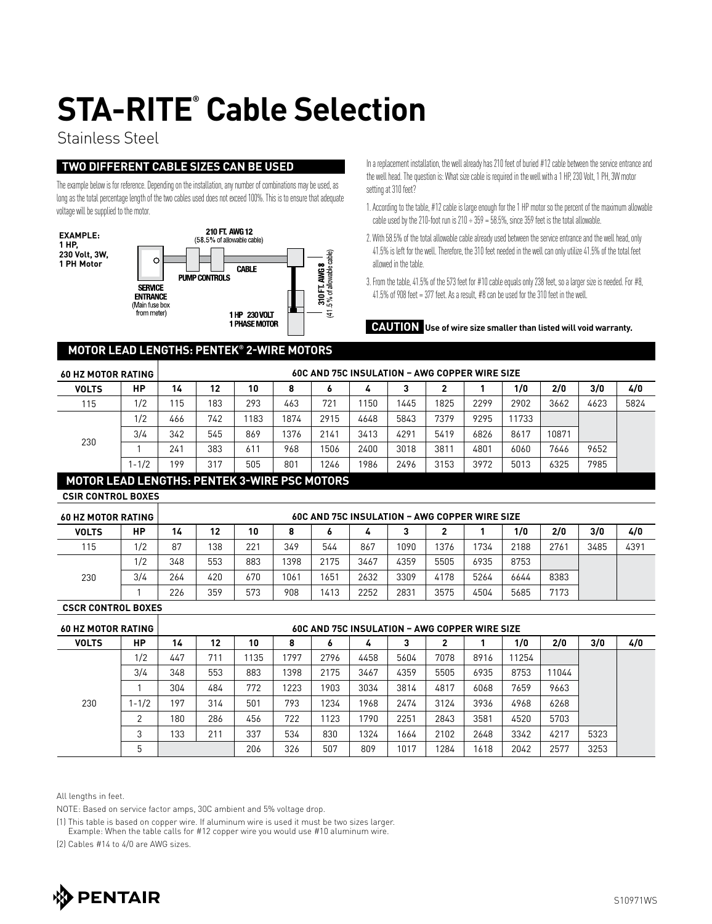# **STA-RITE® Cable Selection**

### Stainless Steel

### **Two different cable sizes can be used**

The example below is for reference. Depending on the installation, any number of combinations may be used, as long as the total percentage length of the two cables used does not exceed 100%. This is to ensure that adequate voltage will be supplied to the motor.



In a replacement installation, the well already has 210 feet of buried #12 cable between the service entrance and the well head. The question is: What size cable is required in the well with a 1 HP, 230 Volt, 1 PH, 3W motor setting at 310 feet?

- 1. According to the table, #12 cable is large enough for the 1 HP motor so the percent of the maximum allowable cable used by the 210-foot run is  $210 \div 359 = 58.5\%$ , since 359 feet is the total allowable.
- 2. With 58.5% of the total allowable cable already used between the service entrance and the well head, only 41.5% is left for the well. Therefore, the 310 feet needed in the well can only utilize 41.5% of the total feet allowed in the table.
- 3. From the table, 41.5% of the 573 feet for #10 cable equals only 238 feet, so a larger size is needed. For #8,  $41.5\%$  of 908 feet = 377 feet. As a result, #8 can be used for the 310 feet in the well.

**CAUTION Use of wire size smaller than listed will void warranty.**

#### **MOTOR LEAD LENGTHS: PENTEK® 2-WIRE MOTORS**

| <b>60 HZ MOTOR RATING</b>                       |           | <b>60C AND 75C INSULATION - AWG COPPER WIRE SIZE</b> |     |     |      |      |      |      |      |      |       |       |      |      |
|-------------------------------------------------|-----------|------------------------------------------------------|-----|-----|------|------|------|------|------|------|-------|-------|------|------|
| <b>VOLTS</b>                                    | HP        | 14                                                   | 12  | 10  |      |      |      | ◠    | າ    |      | 1/0   | 2/0   | 3/0  | 4/0  |
| 115                                             | 1/2       | 15                                                   | 183 | 293 | 463  | 721  | 1150 | 1445 | 1825 | 2299 | 2902  | 3662  | 4623 | 5824 |
| 230                                             | 1/2       | 466                                                  | 742 | 183 | 1874 | 2915 | 4648 | 5843 | 7379 | 9295 | 11733 |       |      |      |
|                                                 | 3/4       | 342                                                  | 545 | 869 | 1376 | 2141 | 3413 | 4291 | 5419 | 6826 | 8617  | 10871 |      |      |
|                                                 |           | 241                                                  | 383 | 611 | 968  | 1506 | 2400 | 3018 | 3811 | 4801 | 6060  | 7646  | 9652 |      |
|                                                 | $1 - 1/2$ | 199                                                  | 317 | 505 | 801  | 1246 | 1986 | 2496 | 3153 | 3972 | 5013  | 6325  | 7985 |      |
| LIATAB LEIB LEUATUA BELITEIZA JUIDE BAA LIATABA |           |                                                      |     |     |      |      |      |      |      |      |       |       |      |      |

#### **MOTOR LEAD LENGTHS: PENTEK 3-WIRE PSC MOTORS**

**CSIR Control Boxes**

| <b>60 HZ MOTOR RATING</b> |     | <b>60C AND 75C INSULATION - AWG COPPER WIRE SIZE</b> |     |     |      |      |      |      |      |      |      |      |      |      |
|---------------------------|-----|------------------------------------------------------|-----|-----|------|------|------|------|------|------|------|------|------|------|
| <b>VOLTS</b>              | НP  | 14                                                   | 12  | 10  |      | o    |      |      |      |      | 1/0  | 2/0  | 3/0  | 4/0  |
| 115                       | 1/2 | 87                                                   | 138 | 221 | 349  | 544  | 867  | 1090 | 1376 | 1734 | 2188 | 2761 | 3485 | 4391 |
| 230                       | 1/2 | 348                                                  | 553 | 883 | 1398 | 2175 | 3467 | 4359 | 5505 | 6935 | 8753 |      |      |      |
|                           | 3/4 | 264                                                  | 420 | 670 | 1061 | 651  | 2632 | 3309 | 4178 | 5264 | 6644 | 8383 |      |      |
|                           |     | 226                                                  | 359 | 573 | 908  | 413  | 2252 | 2831 | 3575 | 4504 | 5685 | 7173 |      |      |

**CSCR Control Boxes**

| <b>60 HZ MOTOR RATING</b> |           | <b>60C AND 75C INSULATION - AWG COPPER WIRE SIZE</b> |     |     |      |      |      |      |      |      |       |       |      |     |
|---------------------------|-----------|------------------------------------------------------|-----|-----|------|------|------|------|------|------|-------|-------|------|-----|
| <b>VOLTS</b>              | HP        | 14                                                   | 12  | 10  |      | ۰    | 4    |      | 2    |      | 1/0   | 2/0   | 3/0  | 4/0 |
| 230                       | 1/2       | 447                                                  | 711 | 135 | 797  | 2796 | 4458 | 5604 | 7078 | 8916 | 11254 |       |      |     |
|                           | 3/4       | 348                                                  | 553 | 883 | 1398 | 2175 | 3467 | 4359 | 5505 | 6935 | 8753  | 11044 |      |     |
|                           |           | 304                                                  | 484 | 772 | 1223 | 1903 | 3034 | 3814 | 4817 | 6068 | 7659  | 9663  |      |     |
|                           | $1 - 1/2$ | 197                                                  | 314 | 501 | 793  | 1234 | 1968 | 2474 | 3124 | 3936 | 4968  | 6268  |      |     |
|                           | ◠         | 180                                                  | 286 | 456 | 722  | 1123 | 1790 | 2251 | 2843 | 3581 | 4520  | 5703  |      |     |
|                           | ◠<br>- 1  | 133                                                  | 211 | 337 | 534  | 830  | 1324 | 1664 | 2102 | 2648 | 3342  | 4217  | 5323 |     |
|                           | 5         |                                                      |     | 206 | 326  | 507  | 809  | 1017 | 1284 | 1618 | 2042  | 2577  | 3253 |     |

All lengths in feet.

NOTE: Based on service factor amps, 30C ambient and 5% voltage drop.

(1) This table is based on copper wire. If aluminum wire is used it must be two sizes larger.

Example: When the table calls for #12 copper wire you would use #10 aluminum wire.

(2) Cables #14 to 4/0 are AWG sizes.